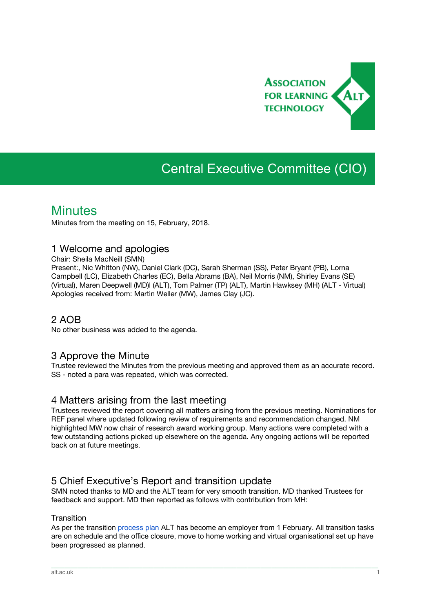

# Central Executive Committee (CIO)

## **Minutes**

Minutes from the meeting on 15, February, 2018.

## 1 Welcome and apologies

Chair: Sheila MacNeill (SMN)

Present:, Nic Whitton (NW), Daniel Clark (DC), Sarah Sherman (SS), Peter Bryant (PB), Lorna Campbell (LC), Elizabeth Charles (EC), Bella Abrams (BA), Neil Morris (NM), Shirley Evans (SE) (Virtual), Maren Deepwell (MD)l (ALT), Tom Palmer (TP) (ALT), Martin Hawksey (MH) (ALT - Virtual) Apologies received from: Martin Weller (MW), James Clay (JC).

## 2 AOB

No other business was added to the agenda.

## 3 Approve the Minute

Trustee reviewed the Minutes from the previous meeting and approved them as an accurate record. SS - noted a para was repeated, which was corrected.

## 4 Matters arising from the last meeting

Trustees reviewed the report covering all matters arising from the previous meeting. Nominations for REF panel where updated following review of requirements and recommendation changed. NM highlighted MW now chair of research award working group. Many actions were completed with a few outstanding actions picked up elsewhere on the agenda. Any ongoing actions will be reported back on at future meetings.

## 5 Chief Executive's Report and transition update

SMN noted thanks to MD and the ALT team for very smooth transition. MD thanked Trustees for feedback and support. MD then reported as follows with contribution from MH:

#### **Transition**

As per the transition [process](https://docs.google.com/spreadsheets/d/1bPisQnbIxoId4hEao5DARUbWo5vaczd2YXIvX3LUnEE/edit#gid=0) plan ALT has become an employer from 1 February. All transition tasks are on schedule and the office closure, move to home working and virtual organisational set up have been progressed as planned.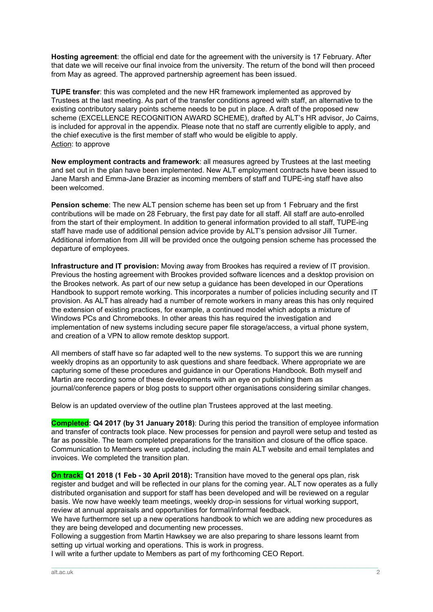**Hosting agreement**: the official end date for the agreement with the university is 17 February. After that date we will receive our final invoice from the university. The return of the bond will then proceed from May as agreed. The approved partnership agreement has been issued.

**TUPE transfer**: this was completed and the new HR framework implemented as approved by Trustees at the last meeting. As part of the transfer conditions agreed with staff, an alternative to the existing contributory salary points scheme needs to be put in place. A draft of the proposed new scheme (EXCELLENCE RECOGNITION AWARD SCHEME), drafted by ALT's HR advisor, Jo Cairns, is included for approval in the appendix. Please note that no staff are currently eligible to apply, and the chief executive is the first member of staff who would be eligible to apply. Action: to approve

**New employment contracts and framework**: all measures agreed by Trustees at the last meeting and set out in the plan have been implemented. New ALT employment contracts have been issued to Jane Marsh and Emma-Jane Brazier as incoming members of staff and TUPE-ing staff have also been welcomed.

**Pension scheme**: The new ALT pension scheme has been set up from 1 February and the first contributions will be made on 28 February, the first pay date for all staff. All staff are auto-enrolled from the start of their employment. In addition to general information provided to all staff, TUPE-ing staff have made use of additional pension advice provide by ALT's pension advsisor Jill Turner. Additional information from Jill will be provided once the outgoing pension scheme has processed the departure of employees.

**Infrastructure and IT provision:** Moving away from Brookes has required a review of IT provision. Previous the hosting agreement with Brookes provided software licences and a desktop provision on the Brookes network. As part of our new setup a guidance has been developed in our Operations Handbook to support remote working. This incorporates a number of policies including security and IT provision. As ALT has already had a number of remote workers in many areas this has only required the extension of existing practices, for example, a continued model which adopts a mixture of Windows PCs and Chromebooks. In other areas this has required the investigation and implementation of new systems including secure paper file storage/access, a virtual phone system, and creation of a VPN to allow remote desktop support.

All members of staff have so far adapted well to the new systems. To support this we are running weekly dropins as an opportunity to ask questions and share feedback. Where appropriate we are capturing some of these procedures and guidance in our Operations Handbook. Both myself and Martin are recording some of these developments with an eye on publishing them as journal/conference papers or blog posts to support other organisations considering similar changes.

Below is an updated overview of the outline plan Trustees approved at the last meeting.

**Completed: Q4 2017 (by 31 January 2018)**: During this period the transition of employee information and transfer of contracts took place. New processes for pension and payroll were setup and tested as far as possible. The team completed preparations for the transition and closure of the office space. Communication to Members were updated, including the main ALT website and email templates and invoices. We completed the transition plan.

**On track: Q1 2018 (1 Feb - 30 April 2018):** Transition have moved to the general ops plan, risk register and budget and will be reflected in our plans for the coming year. ALT now operates as a fully distributed organisation and support for staff has been developed and will be reviewed on a regular basis. We now have weekly team meetings, weekly drop-in sessions for virtual working support, review at annual appraisals and opportunities for formal/informal feedback.

We have furthermore set up a new operations handbook to which we are adding new procedures as they are being developed and documenting new processes.

\_\_\_\_\_\_\_\_\_\_\_\_\_\_\_\_\_\_\_\_\_\_\_\_\_\_\_\_\_\_\_\_\_\_\_\_\_\_\_\_\_\_\_\_\_\_\_\_\_\_\_\_\_\_\_\_\_\_\_\_\_\_\_\_\_\_\_\_\_\_\_\_\_\_\_\_\_\_\_\_\_\_\_\_\_\_\_\_\_\_\_\_\_\_\_\_\_\_\_\_\_\_\_\_\_\_\_\_\_\_\_\_\_\_\_\_\_\_\_\_\_\_\_\_\_\_\_\_\_\_\_\_\_\_\_\_\_\_\_\_\_\_\_\_\_\_\_\_\_\_

Following a suggestion from Martin Hawksey we are also preparing to share lessons learnt from setting up virtual working and operations. This is work in progress.

I will write a further update to Members as part of my forthcoming CEO Report.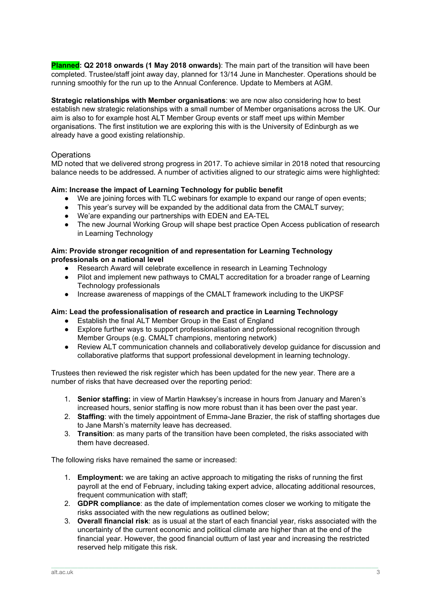**Planned: Q2 2018 onwards (1 May 2018 onwards)**: The main part of the transition will have been completed. Trustee/staff joint away day, planned for 13/14 June in Manchester. Operations should be running smoothly for the run up to the Annual Conference. Update to Members at AGM.

**Strategic relationships with Member organisations**: we are now also considering how to best establish new strategic relationships with a small number of Member organisations across the UK. Our aim is also to for example host ALT Member Group events or staff meet ups within Member organisations. The first institution we are exploring this with is the University of Edinburgh as we already have a good existing relationship.

#### **Operations**

MD noted that we delivered strong progress in 2017. To achieve similar in 2018 noted that resourcing balance needs to be addressed. A number of activities aligned to our strategic aims were highlighted:

#### **Aim: Increase the impact of Learning Technology for public benefit**

- We are joining forces with TLC webinars for example to expand our range of open events;
- This year's survey will be expanded by the additional data from the CMALT survey;
- We'are expanding our partnerships with EDEN and EA-TEL
- The new Journal Working Group will shape best practice Open Access publication of research in Learning Technology

#### **Aim: Provide stronger recognition of and representation for Learning Technology professionals on a national level**

- Research Award will celebrate excellence in research in Learning Technology
- Pilot and implement new pathways to CMALT accreditation for a broader range of Learning Technology professionals
- Increase awareness of mappings of the CMALT framework including to the UKPSF

#### **Aim: Lead the professionalisation of research and practice in Learning Technology**

- Establish the final ALT Member Group in the East of England
- Explore further ways to support professionalisation and professional recognition through Member Groups (e.g. CMALT champions, mentoring network)
- Review ALT communication channels and collaboratively develop guidance for discussion and collaborative platforms that support professional development in learning technology.

Trustees then reviewed the risk register which has been updated for the new year. There are a number of risks that have decreased over the reporting period:

- 1. **Senior staffing:** in view of Martin Hawksey's increase in hours from January and Maren's increased hours, senior staffing is now more robust than it has been over the past year.
- 2. **Staffing**: with the timely appointment of Emma-Jane Brazier, the risk of staffing shortages due to Jane Marsh's maternity leave has decreased.
- 3. **Transition**: as many parts of the transition have been completed, the risks associated with them have decreased.

The following risks have remained the same or increased:

- 1. **Employment:** we are taking an active approach to mitigating the risks of running the first payroll at the end of February, including taking expert advice, allocating additional resources, frequent communication with staff;
- 2. **GDPR compliance**: as the date of implementation comes closer we working to mitigate the risks associated with the new regulations as outlined below;
- 3. **Overall financial risk**: as is usual at the start of each financial year, risks associated with the uncertainty of the current economic and political climate are higher than at the end of the financial year. However, the good financial outturn of last year and increasing the restricted reserved help mitigate this risk.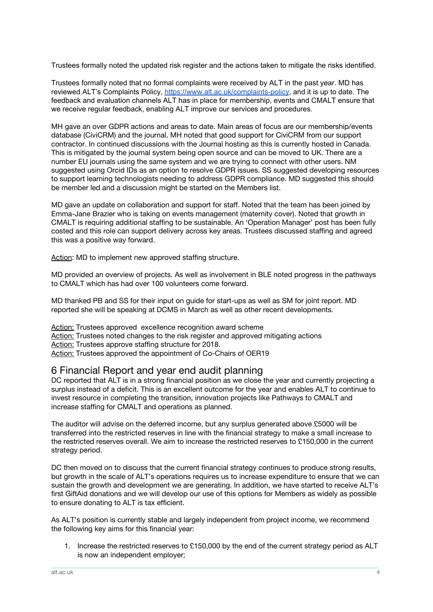Trustees formally noted the updated risk register and the actions taken to mitigate the risks identified.

Trustees formally noted that no formal complaints were received by ALT in the past year. MD has reviewed ALT's Complaints Policy, <https://www.alt.ac.uk/complaints-policy>, and it is up to date. The feedback and evaluation channels ALT has in place for membership, events and CMALT ensure that we receive regular feedback, enabling ALT improve our services and procedures.

MH gave an over GDPR actions and areas to date. Main areas of focus are our membership/events database (CiviCRM) and the journal. MH noted that good support for CiviCRM from our support contractor. In continued discussions with the Journal hosting as this is currently hosted in Canada. This is mitigated by the journal system being open source and can be moved to UK. There are a number EU journals using the same system and we are trying to connect with other users. NM suggested using Orcid IDs as an option to resolve GDPR issues. SS suggested developing resources to support learning technologists needing to address GDPR compliance. MD suggested this should be member led and a discussion might be started on the Members list.

MD gave an update on collaboration and support for staff. Noted that the team has been joined by Emma-Jane Brazier who is taking on events management (maternity cover). Noted that growth in CMALT is requiring additional staffing to be sustainable. An 'Operation Manager' post has been fully costed and this role can support delivery across key areas. Trustees discussed staffing and agreed this was a positive way forward.

Action: MD to implement new approved staffing structure.

MD provided an overview of projects. As well as involvement in BLE noted progress in the pathways to CMALT which has had over 100 volunteers come forward.

MD thanked PB and SS for their input on guide for start-ups as well as SM for joint report. MD reported she will be speaking at DCMS in March as well as other recent developments.

Action: Trustees approved excellence recognition award scheme Action: Trustees noted changes to the risk register and approved mitigating actions Action: Trustees approve staffing structure for 2018. Action: Trustees approved the appointment of Co-Chairs of OER19

## 6 Financial Report and year end audit planning

DC reported that ALT is in a strong financial position as we close the year and currently projecting a surplus instead of a deficit. This is an excellent outcome for the year and enables ALT to continue to invest resource in completing the transition, innovation projects like Pathways to CMALT and increase staffing for CMALT and operations as planned.

The auditor will advise on the deferred income, but any surplus generated above £5000 will be transferred into the restricted reserves in line with the financial strategy to make a small increase to the restricted reserves overall. We aim to increase the restricted reserves to £150,000 in the current strategy period.

DC then moved on to discuss that the current financial strategy continues to produce strong results, but growth in the scale of ALT's operations requires us to increase expenditure to ensure that we can sustain the growth and development we are generating. In addition, we have started to receive ALT's first GiftAid donations and we will develop our use of this options for Members as widely as possible to ensure donating to ALT is tax efficient.

As ALT's position is currently stable and largely independent from project income, we recommend the following key aims for this financial year:

1. Increase the restricted reserves to £150,000 by the end of the current strategy period as ALT is now an independent employer;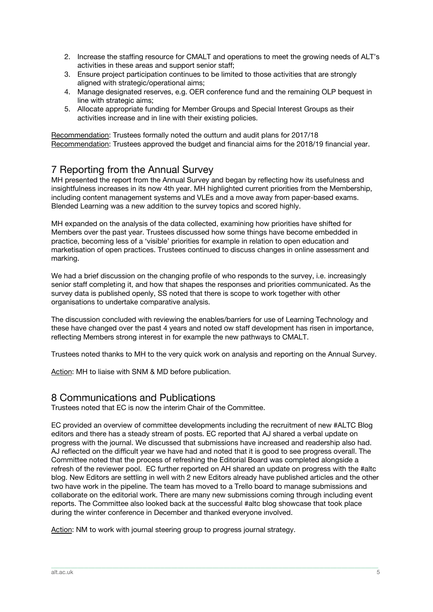- 2. Increase the staffing resource for CMALT and operations to meet the growing needs of ALT's activities in these areas and support senior staff;
- 3. Ensure project participation continues to be limited to those activities that are strongly aligned with strategic/operational aims;
- 4. Manage designated reserves, e.g. OER conference fund and the remaining OLP bequest in line with strategic aims;
- 5. Allocate appropriate funding for Member Groups and Special Interest Groups as their activities increase and in line with their existing policies.

Recommendation: Trustees formally noted the outturn and audit plans for 2017/18 Recommendation: Trustees approved the budget and financial aims for the 2018/19 financial year.

## 7 Reporting from the Annual Survey

MH presented the report from the Annual Survey and began by reflecting how its usefulness and insightfulness increases in its now 4th year. MH highlighted current priorities from the Membership, including content management systems and VLEs and a move away from paper-based exams. Blended Learning was a new addition to the survey topics and scored highly.

MH expanded on the analysis of the data collected, examining how priorities have shifted for Members over the past year. Trustees discussed how some things have become embedded in practice, becoming less of a 'visible' priorities for example in relation to open education and marketisation of open practices. Trustees continued to discuss changes in online assessment and marking.

We had a brief discussion on the changing profile of who responds to the survey, i.e. increasingly senior staff completing it, and how that shapes the responses and priorities communicated. As the survey data is published openly, SS noted that there is scope to work together with other organisations to undertake comparative analysis.

The discussion concluded with reviewing the enables/barriers for use of Learning Technology and these have changed over the past 4 years and noted ow staff development has risen in importance, reflecting Members strong interest in for example the new pathways to CMALT.

Trustees noted thanks to MH to the very quick work on analysis and reporting on the Annual Survey.

Action: MH to liaise with SNM & MD before publication.

## 8 Communications and Publications

Trustees noted that EC is now the interim Chair of the Committee.

EC provided an overview of committee developments including the recruitment of new #ALTC Blog editors and there has a steady stream of posts. EC reported that AJ shared a verbal update on progress with the journal. We discussed that submissions have increased and readership also had. AJ reflected on the difficult year we have had and noted that it is good to see progress overall. The Committee noted that the process of refreshing the Editorial Board was completed alongside a refresh of the reviewer pool. EC further reported on AH shared an update on progress with the #altc blog. New Editors are settling in well with 2 new Editors already have published articles and the other two have work in the pipeline. The team has moved to a Trello board to manage submissions and collaborate on the editorial work. There are many new submissions coming through including event reports. The Committee also looked back at the successful #altc blog showcase that took place during the winter conference in December and thanked everyone involved.

\_\_\_\_\_\_\_\_\_\_\_\_\_\_\_\_\_\_\_\_\_\_\_\_\_\_\_\_\_\_\_\_\_\_\_\_\_\_\_\_\_\_\_\_\_\_\_\_\_\_\_\_\_\_\_\_\_\_\_\_\_\_\_\_\_\_\_\_\_\_\_\_\_\_\_\_\_\_\_\_\_\_\_\_\_\_\_\_\_\_\_\_\_\_\_\_\_\_\_\_\_\_\_\_\_\_\_\_\_\_\_\_\_\_\_\_\_\_\_\_\_\_\_\_\_\_\_\_\_\_\_\_\_\_\_\_\_\_\_\_\_\_\_\_\_\_\_\_\_\_

Action: NM to work with journal steering group to progress journal strategy.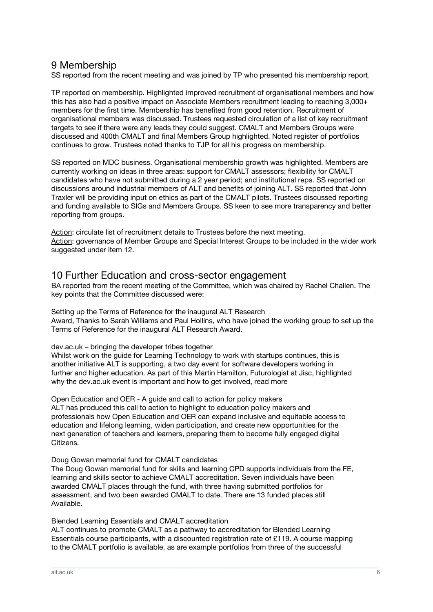## 9 Membership

SS reported from the recent meeting and was joined by TP who presented his membership report.

TP reported on membership. Highlighted improved recruitment of organisational members and how this has also had a positive impact on Associate Members recruitment leading to reaching 3,000+ members for the first time. Membership has benefited from good retention. Recruitment of organisational members was discussed. Trustees requested circulation of a list of key recruitment targets to see if there were any leads they could suggest. CMALT and Members Groups were discussed and 400th CMALT and final Members Group highlighted. Noted register of portfolios continues to grow. Trustees noted thanks to TJP for all his progress on membership.

SS reported on MDC business. Organisational membership growth was highlighted. Members are currently working on ideas in three areas: support for CMALT assessors; flexibility for CMALT candidates who have not submitted during a 2 year period; and institutional reps. SS reported on discussions around industrial members of ALT and benefits of joining ALT. SS reported that John Traxler will be providing input on ethics as part of the CMALT pilots. Trustees discussed reporting and funding available to SIGs and Members Groups. SS keen to see more transparency and better reporting from groups.

Action: circulate list of recruitment details to Trustees before the next meeting. Action: governance of Member Groups and Special Interest Groups to be included in the wider work suggested under item 12.

## 10 Further Education and cross-sector engagement

BA reported from the recent meeting of the Committee, which was chaired by Rachel Challen. The key points that the Committee discussed were:

Setting up the Terms of Reference for the inaugural ALT Research Award, Thanks to Sarah Williams and Paul Hollins, who have joined the working group to set up the Terms of Reference for the inaugural ALT Research Award.

dev.ac.uk – bringing the developer tribes together

Whilst work on the guide for Learning Technology to work with startups continues, this is another initiative ALT is supporting, a two day event for software developers working in further and higher education. As part of this Martin Hamilton, Futurologist at Jisc, highlighted why the dev.ac.uk event is important and how to get involved, read more

Open Education and OER - A guide and call to action for policy makers ALT has produced this call to action to highlight to education policy makers and professionals how Open Education and OER can expand inclusive and equitable access to education and lifelong learning, widen participation, and create new opportunities for the next generation of teachers and learners, preparing them to become fully engaged digital Citizens.

Doug Gowan memorial fund for CMALT candidates

The Doug Gowan memorial fund for skills and learning CPD supports individuals from the FE, learning and skills sector to achieve CMALT accreditation. Seven individuals have been awarded CMALT places through the fund, with three having submitted portfolios for assessment, and two been awarded CMALT to date. There are 13 funded places still Available.

Blended Learning Essentials and CMALT accreditation

ALT continues to promote CMALT as a pathway to accreditation for Blended Learning Essentials course participants, with a discounted registration rate of £119. A course mapping to the CMALT portfolio is available, as are example portfolios from three of the successful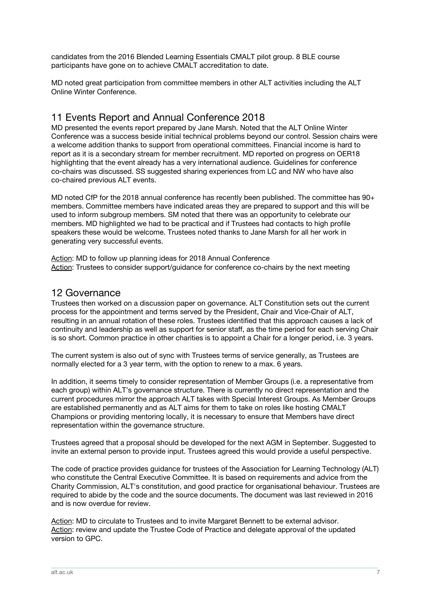candidates from the 2016 Blended Learning Essentials CMALT pilot group. 8 BLE course participants have gone on to achieve CMALT accreditation to date.

MD noted great participation from committee members in other ALT activities including the ALT Online Winter Conference.

## 11 Events Report and Annual Conference 2018

MD presented the events report prepared by Jane Marsh. Noted that the ALT Online Winter Conference was a success beside initial technical problems beyond our control. Session chairs were a welcome addition thanks to support from operational committees. Financial income is hard to report as it is a secondary stream for member recruitment. MD reported on progress on OER18 highlighting that the event already has a very international audience. Guidelines for conference co-chairs was discussed. SS suggested sharing experiences from LC and NW who have also co-chaired previous ALT events.

MD noted CfP for the 2018 annual conference has recently been published. The committee has 90+ members. Committee members have indicated areas they are prepared to support and this will be used to inform subgroup members. SM noted that there was an opportunity to celebrate our members. MD highlighted we had to be practical and if Trustees had contacts to high profile speakers these would be welcome. Trustees noted thanks to Jane Marsh for all her work in generating very successful events.

Action: MD to follow up planning ideas for 2018 Annual Conference Action: Trustees to consider support/guidance for conference co-chairs by the next meeting

## 12 Governance

Trustees then worked on a discussion paper on governance. ALT Constitution sets out the current process for the appointment and terms served by the President, Chair and Vice-Chair of ALT, resulting in an annual rotation of these roles. Trustees identified that this approach causes a lack of continuity and leadership as well as support for senior staff, as the time period for each serving Chair is so short. Common practice in other charities is to appoint a Chair for a longer period, i.e. 3 years.

The current system is also out of sync with Trustees terms of service generally, as Trustees are normally elected for a 3 year term, with the option to renew to a max. 6 years.

In addition, it seems timely to consider representation of Member Groups (i.e. a representative from each group) within ALT's governance structure. There is currently no direct representation and the current procedures mirror the approach ALT takes with Special Interest Groups. As Member Groups are established permanently and as ALT aims for them to take on roles like hosting CMALT Champions or providing mentoring locally, it is necessary to ensure that Members have direct representation within the governance structure.

Trustees agreed that a proposal should be developed for the next AGM in September. Suggested to invite an external person to provide input. Trustees agreed this would provide a useful perspective.

The code of practice provides guidance for trustees of the Association for Learning Technology (ALT) who constitute the Central Executive Committee. It is based on requirements and advice from the Charity Commission, ALT's constitution, and good practice for organisational behaviour. Trustees are required to abide by the code and the source documents. The document was last reviewed in 2016 and is now overdue for review.

\_\_\_\_\_\_\_\_\_\_\_\_\_\_\_\_\_\_\_\_\_\_\_\_\_\_\_\_\_\_\_\_\_\_\_\_\_\_\_\_\_\_\_\_\_\_\_\_\_\_\_\_\_\_\_\_\_\_\_\_\_\_\_\_\_\_\_\_\_\_\_\_\_\_\_\_\_\_\_\_\_\_\_\_\_\_\_\_\_\_\_\_\_\_\_\_\_\_\_\_\_\_\_\_\_\_\_\_\_\_\_\_\_\_\_\_\_\_\_\_\_\_\_\_\_\_\_\_\_\_\_\_\_\_\_\_\_\_\_\_\_\_\_\_\_\_\_\_\_\_

Action: MD to circulate to Trustees and to invite Margaret Bennett to be external advisor. Action: review and update the Trustee Code of Practice and delegate approval of the updated version to GPC.